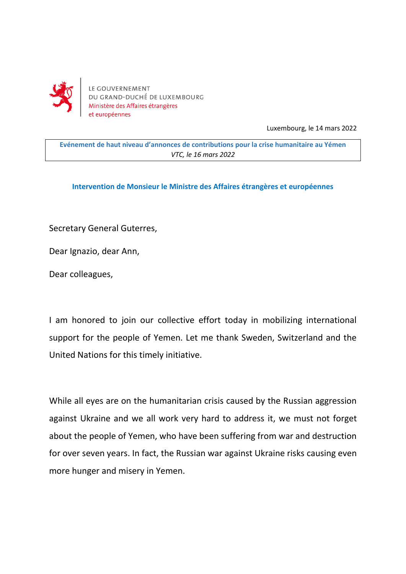

LE GOUVERNEMENT DU GRAND-DUCHÉ DE LUXEMBOURG Ministère des Affaires étrangères et européennes

Luxembourg, le 14 mars 2022

**Evénement de haut niveau d'annonces de contributions pour la crise humanitaire au Yémen** *VTC, le 16 mars 2022*

**Intervention de Monsieur le Ministre des Affaires étrangères et européennes**

Secretary General Guterres,

Dear Ignazio, dear Ann,

Dear colleagues,

I am honored to join our collective effort today in mobilizing international support for the people of Yemen. Let me thank Sweden, Switzerland and the United Nations for this timely initiative.

While all eyes are on the humanitarian crisis caused by the Russian aggression against Ukraine and we all work very hard to address it, we must not forget about the people of Yemen, who have been suffering from war and destruction for over seven years. In fact, the Russian war against Ukraine risks causing even more hunger and misery in Yemen.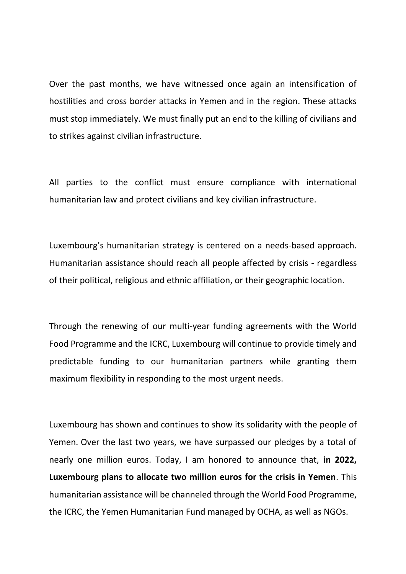Over the past months, we have witnessed once again an intensification of hostilities and cross border attacks in Yemen and in the region. These attacks must stop immediately. We must finally put an end to the killing of civilians and to strikes against civilian infrastructure.

All parties to the conflict must ensure compliance with international humanitarian law and protect civilians and key civilian infrastructure.

Luxembourg's humanitarian strategy is centered on a needs-based approach. Humanitarian assistance should reach all people affected by crisis - regardless of their political, religious and ethnic affiliation, or their geographic location.

Through the renewing of our multi-year funding agreements with the World Food Programme and the ICRC, Luxembourg will continue to provide timely and predictable funding to our humanitarian partners while granting them maximum flexibility in responding to the most urgent needs.

Luxembourg has shown and continues to show its solidarity with the people of Yemen. Over the last two years, we have surpassed our pledges by a total of nearly one million euros. Today, I am honored to announce that, **in 2022, Luxembourg plans to allocate two million euros for the crisis in Yemen**. This humanitarian assistance will be channeled through the World Food Programme, the ICRC, the Yemen Humanitarian Fund managed by OCHA, as well as NGOs.